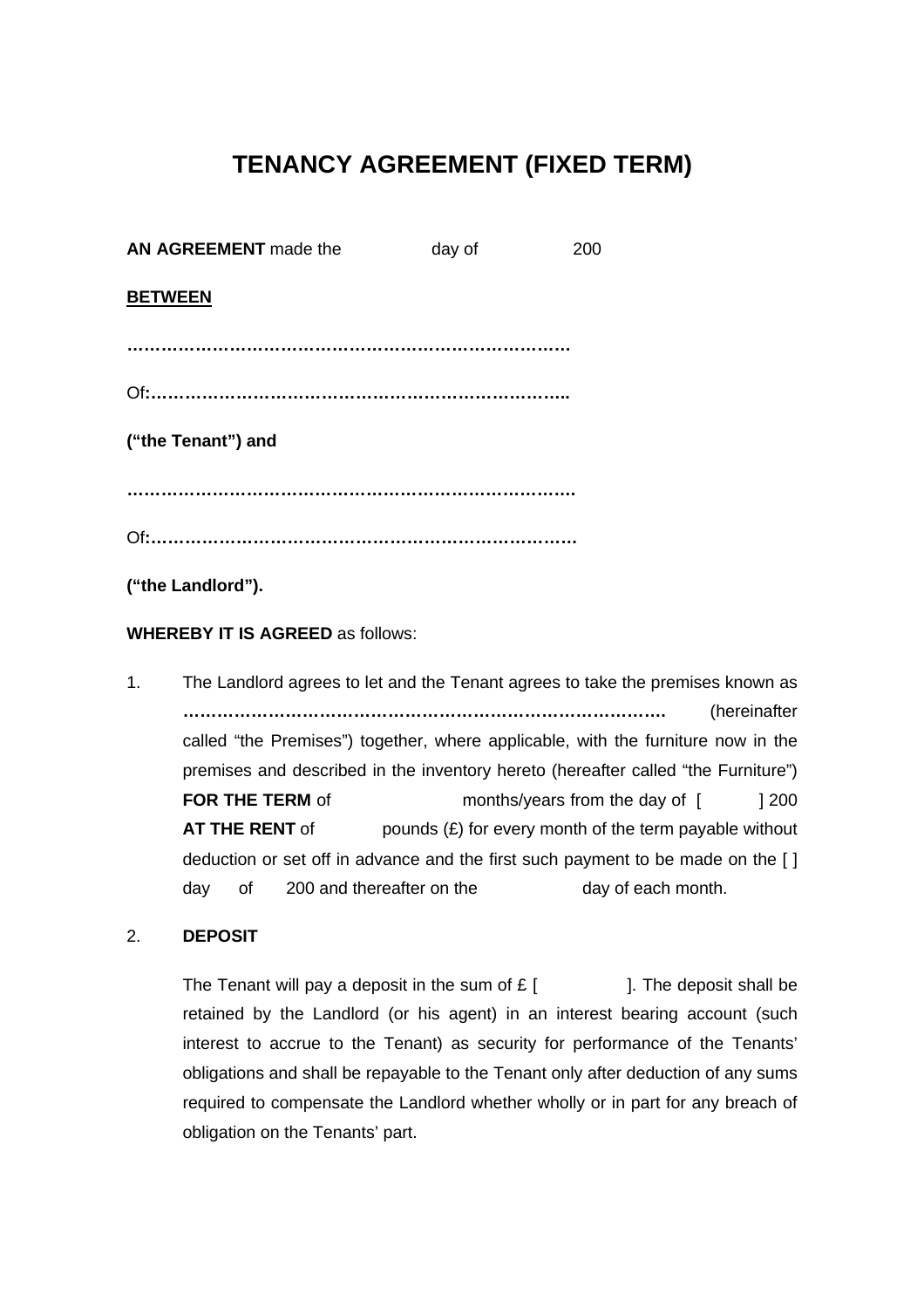# **TENANCY AGREEMENT (FIXED TERM)**

| AN AGREEMENT made the | day of | 200 |
|-----------------------|--------|-----|
| <b>BETWEEN</b>        |        |     |
|                       |        |     |
|                       |        |     |
| ("the Tenant") and    |        |     |
|                       |        |     |
|                       |        |     |
|                       |        |     |

**("the Landlord").**

**WHEREBY IT IS AGREED** as follows:

1. The Landlord agrees to let and the Tenant agrees to take the premises known as **………………………………………………………………………….** (hereinafter called "the Premises") together, where applicable, with the furniture now in the premises and described in the inventory hereto (hereafter called "the Furniture") **FOR THE TERM** of months/years from the day of [ ] 200 **AT THE RENT** of pounds  $(E)$  for every month of the term payable without deduction or set off in advance and the first such payment to be made on the [ ] day of 200 and thereafter on the day of each month.

## 2. **DEPOSIT**

The Tenant will pay a deposit in the sum of  $E$  [  $\qquad$  ]. The deposit shall be retained by the Landlord (or his agent) in an interest bearing account (such interest to accrue to the Tenant) as security for performance of the Tenants' obligations and shall be repayable to the Tenant only after deduction of any sums required to compensate the Landlord whether wholly or in part for any breach of obligation on the Tenants' part.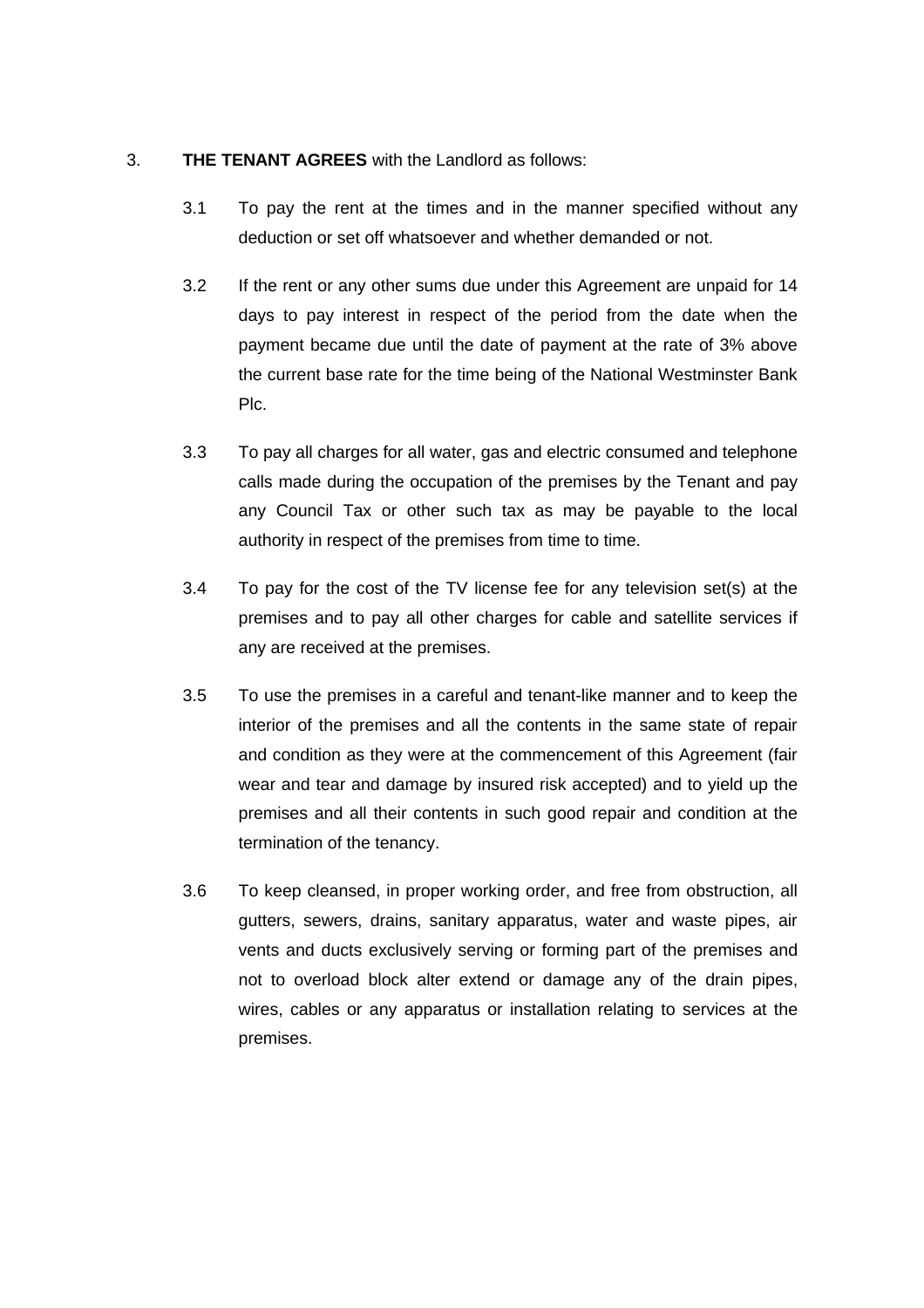# 3. **THE TENANT AGREES** with the Landlord as follows:

- 3.1 To pay the rent at the times and in the manner specified without any deduction or set off whatsoever and whether demanded or not.
- 3.2 If the rent or any other sums due under this Agreement are unpaid for 14 days to pay interest in respect of the period from the date when the payment became due until the date of payment at the rate of 3% above the current base rate for the time being of the National Westminster Bank Plc.
- 3.3 To pay all charges for all water, gas and electric consumed and telephone calls made during the occupation of the premises by the Tenant and pay any Council Tax or other such tax as may be payable to the local authority in respect of the premises from time to time.
- 3.4 To pay for the cost of the TV license fee for any television set(s) at the premises and to pay all other charges for cable and satellite services if any are received at the premises.
- 3.5 To use the premises in a careful and tenant-like manner and to keep the interior of the premises and all the contents in the same state of repair and condition as they were at the commencement of this Agreement (fair wear and tear and damage by insured risk accepted) and to yield up the premises and all their contents in such good repair and condition at the termination of the tenancy.
- 3.6 To keep cleansed, in proper working order, and free from obstruction, all gutters, sewers, drains, sanitary apparatus, water and waste pipes, air vents and ducts exclusively serving or forming part of the premises and not to overload block alter extend or damage any of the drain pipes, wires, cables or any apparatus or installation relating to services at the premises.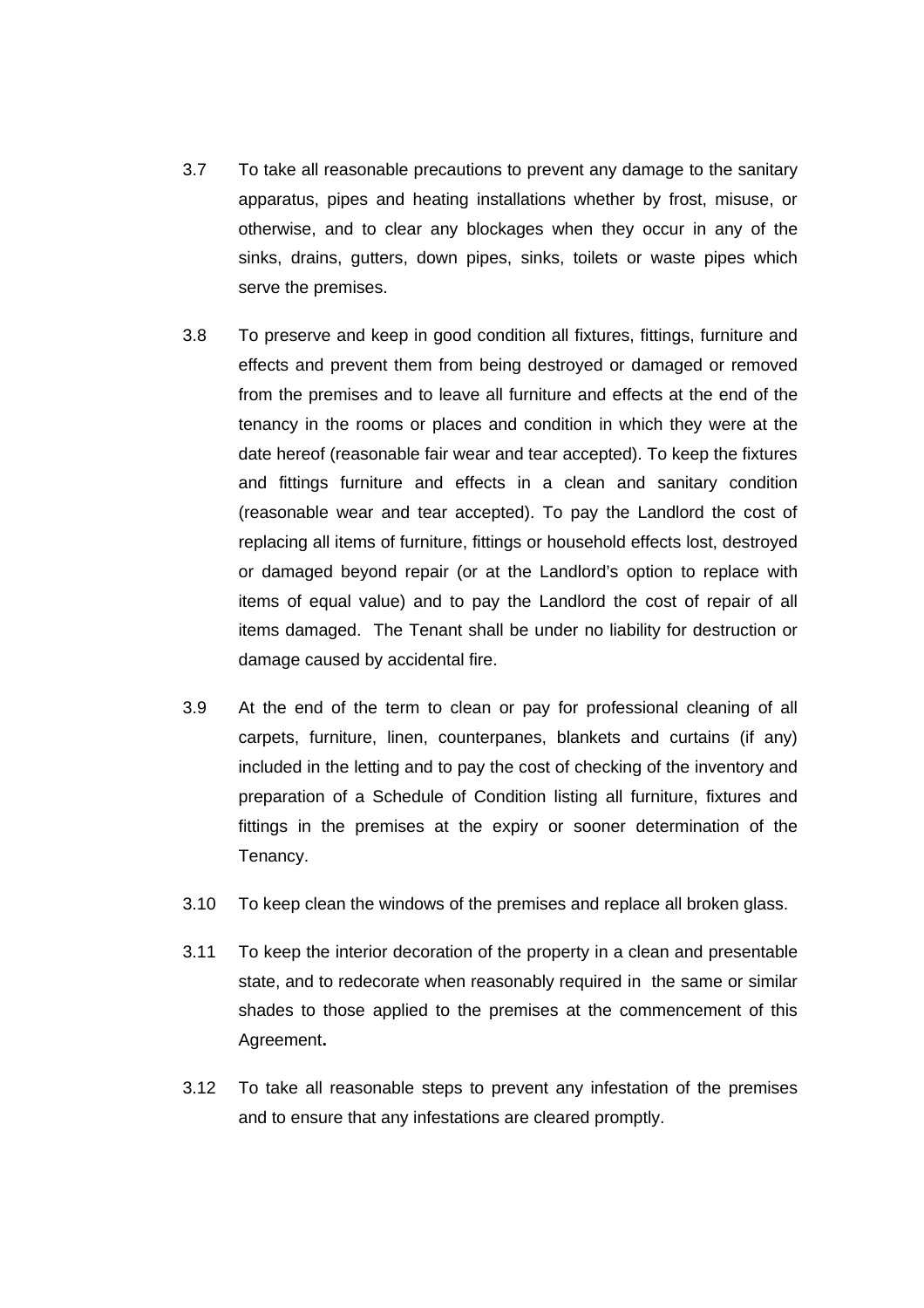- 3.7 To take all reasonable precautions to prevent any damage to the sanitary apparatus, pipes and heating installations whether by frost, misuse, or otherwise, and to clear any blockages when they occur in any of the sinks, drains, gutters, down pipes, sinks, toilets or waste pipes which serve the premises.
- 3.8 To preserve and keep in good condition all fixtures, fittings, furniture and effects and prevent them from being destroyed or damaged or removed from the premises and to leave all furniture and effects at the end of the tenancy in the rooms or places and condition in which they were at the date hereof (reasonable fair wear and tear accepted). To keep the fixtures and fittings furniture and effects in a clean and sanitary condition (reasonable wear and tear accepted). To pay the Landlord the cost of replacing all items of furniture, fittings or household effects lost, destroyed or damaged beyond repair (or at the Landlord's option to replace with items of equal value) and to pay the Landlord the cost of repair of all items damaged. The Tenant shall be under no liability for destruction or damage caused by accidental fire.
- 3.9 At the end of the term to clean or pay for professional cleaning of all carpets, furniture, linen, counterpanes, blankets and curtains (if any) included in the letting and to pay the cost of checking of the inventory and preparation of a Schedule of Condition listing all furniture, fixtures and fittings in the premises at the expiry or sooner determination of the Tenancy.
- 3.10 To keep clean the windows of the premises and replace all broken glass.
- 3.11 To keep the interior decoration of the property in a clean and presentable state, and to redecorate when reasonably required in the same or similar shades to those applied to the premises at the commencement of this Agreement**.**
- 3.12 To take all reasonable steps to prevent any infestation of the premises and to ensure that any infestations are cleared promptly.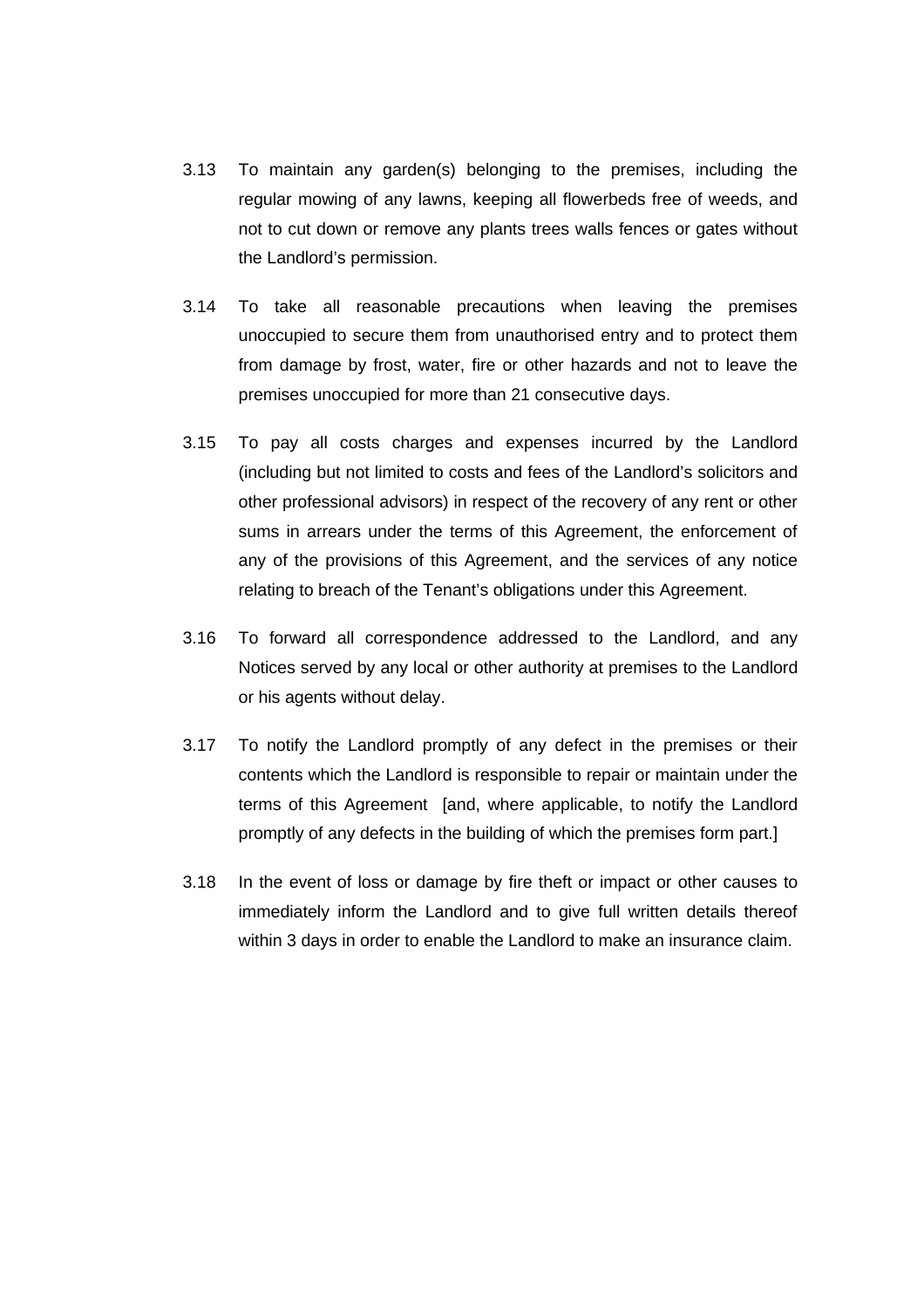- 3.13 To maintain any garden(s) belonging to the premises, including the regular mowing of any lawns, keeping all flowerbeds free of weeds, and not to cut down or remove any plants trees walls fences or gates without the Landlord's permission.
- 3.14 To take all reasonable precautions when leaving the premises unoccupied to secure them from unauthorised entry and to protect them from damage by frost, water, fire or other hazards and not to leave the premises unoccupied for more than 21 consecutive days.
- 3.15 To pay all costs charges and expenses incurred by the Landlord (including but not limited to costs and fees of the Landlord's solicitors and other professional advisors) in respect of the recovery of any rent or other sums in arrears under the terms of this Agreement, the enforcement of any of the provisions of this Agreement, and the services of any notice relating to breach of the Tenant's obligations under this Agreement.
- 3.16 To forward all correspondence addressed to the Landlord, and any Notices served by any local or other authority at premises to the Landlord or his agents without delay.
- 3.17 To notify the Landlord promptly of any defect in the premises or their contents which the Landlord is responsible to repair or maintain under the terms of this Agreement [and, where applicable, to notify the Landlord promptly of any defects in the building of which the premises form part.]
- 3.18 In the event of loss or damage by fire theft or impact or other causes to immediately inform the Landlord and to give full written details thereof within 3 days in order to enable the Landlord to make an insurance claim.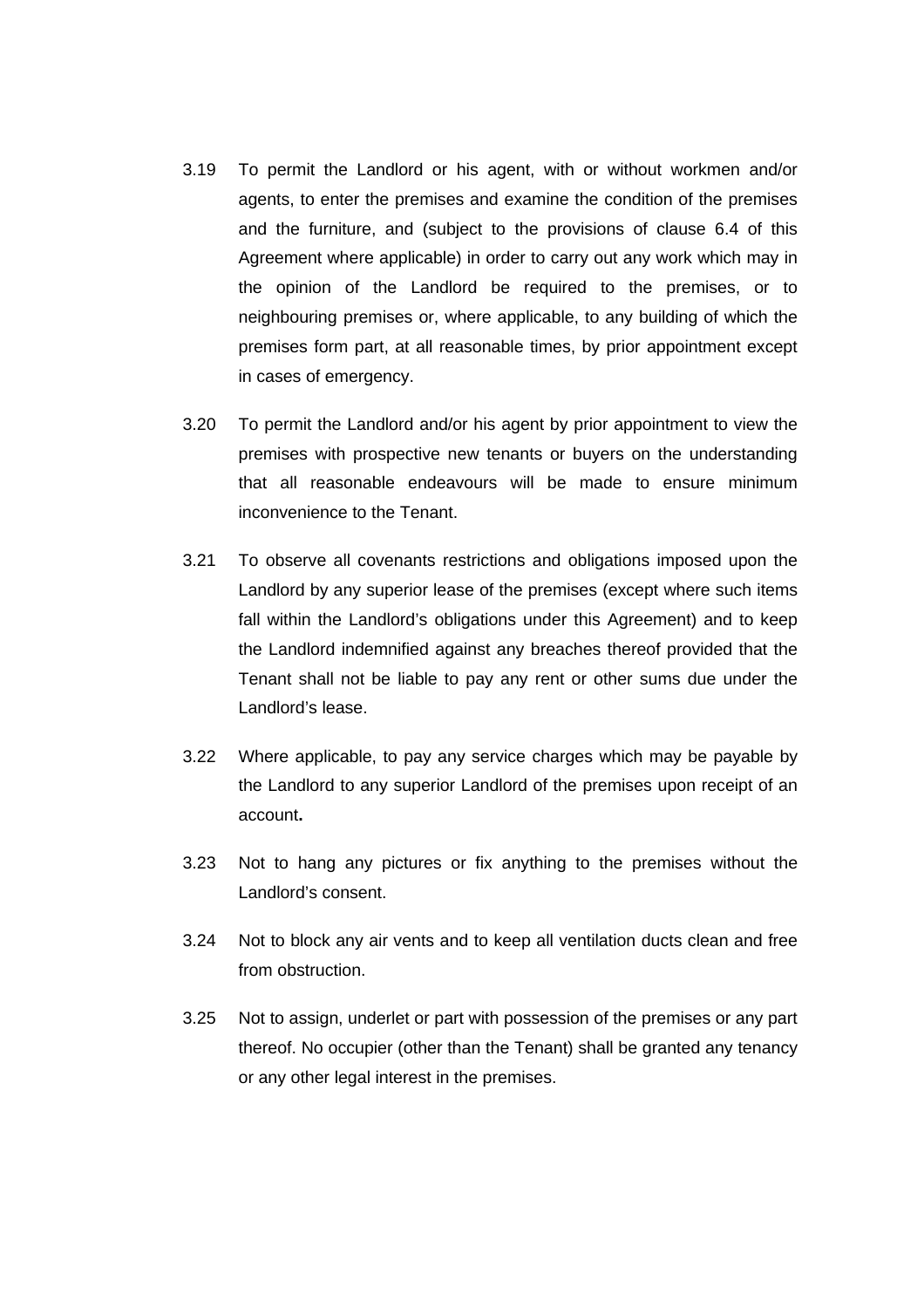- 3.19 To permit the Landlord or his agent, with or without workmen and/or agents, to enter the premises and examine the condition of the premises and the furniture, and (subject to the provisions of clause 6.4 of this Agreement where applicable) in order to carry out any work which may in the opinion of the Landlord be required to the premises, or to neighbouring premises or, where applicable, to any building of which the premises form part, at all reasonable times, by prior appointment except in cases of emergency.
- 3.20 To permit the Landlord and/or his agent by prior appointment to view the premises with prospective new tenants or buyers on the understanding that all reasonable endeavours will be made to ensure minimum inconvenience to the Tenant.
- 3.21 To observe all covenants restrictions and obligations imposed upon the Landlord by any superior lease of the premises (except where such items fall within the Landlord's obligations under this Agreement) and to keep the Landlord indemnified against any breaches thereof provided that the Tenant shall not be liable to pay any rent or other sums due under the Landlord's lease.
- 3.22 Where applicable, to pay any service charges which may be payable by the Landlord to any superior Landlord of the premises upon receipt of an account**.**
- 3.23 Not to hang any pictures or fix anything to the premises without the Landlord's consent.
- 3.24 Not to block any air vents and to keep all ventilation ducts clean and free from obstruction.
- 3.25 Not to assign, underlet or part with possession of the premises or any part thereof. No occupier (other than the Tenant) shall be granted any tenancy or any other legal interest in the premises.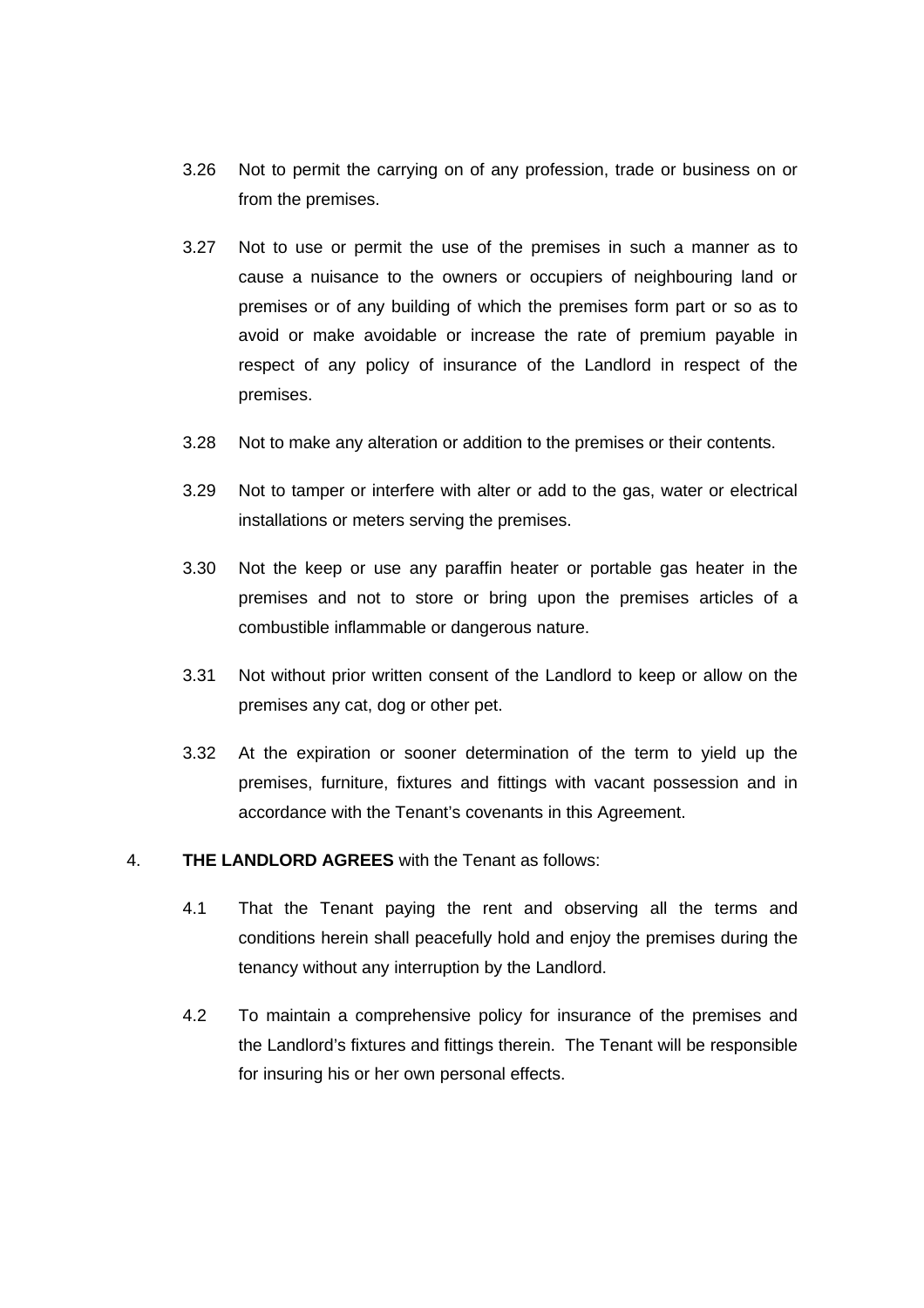- 3.26 Not to permit the carrying on of any profession, trade or business on or from the premises.
- 3.27 Not to use or permit the use of the premises in such a manner as to cause a nuisance to the owners or occupiers of neighbouring land or premises or of any building of which the premises form part or so as to avoid or make avoidable or increase the rate of premium payable in respect of any policy of insurance of the Landlord in respect of the premises.
- 3.28 Not to make any alteration or addition to the premises or their contents.
- 3.29 Not to tamper or interfere with alter or add to the gas, water or electrical installations or meters serving the premises.
- 3.30 Not the keep or use any paraffin heater or portable gas heater in the premises and not to store or bring upon the premises articles of a combustible inflammable or dangerous nature.
- 3.31 Not without prior written consent of the Landlord to keep or allow on the premises any cat, dog or other pet.
- 3.32 At the expiration or sooner determination of the term to yield up the premises, furniture, fixtures and fittings with vacant possession and in accordance with the Tenant's covenants in this Agreement.

#### 4. **THE LANDLORD AGREES** with the Tenant as follows:

- 4.1 That the Tenant paying the rent and observing all the terms and conditions herein shall peacefully hold and enjoy the premises during the tenancy without any interruption by the Landlord.
- 4.2 To maintain a comprehensive policy for insurance of the premises and the Landlord's fixtures and fittings therein. The Tenant will be responsible for insuring his or her own personal effects.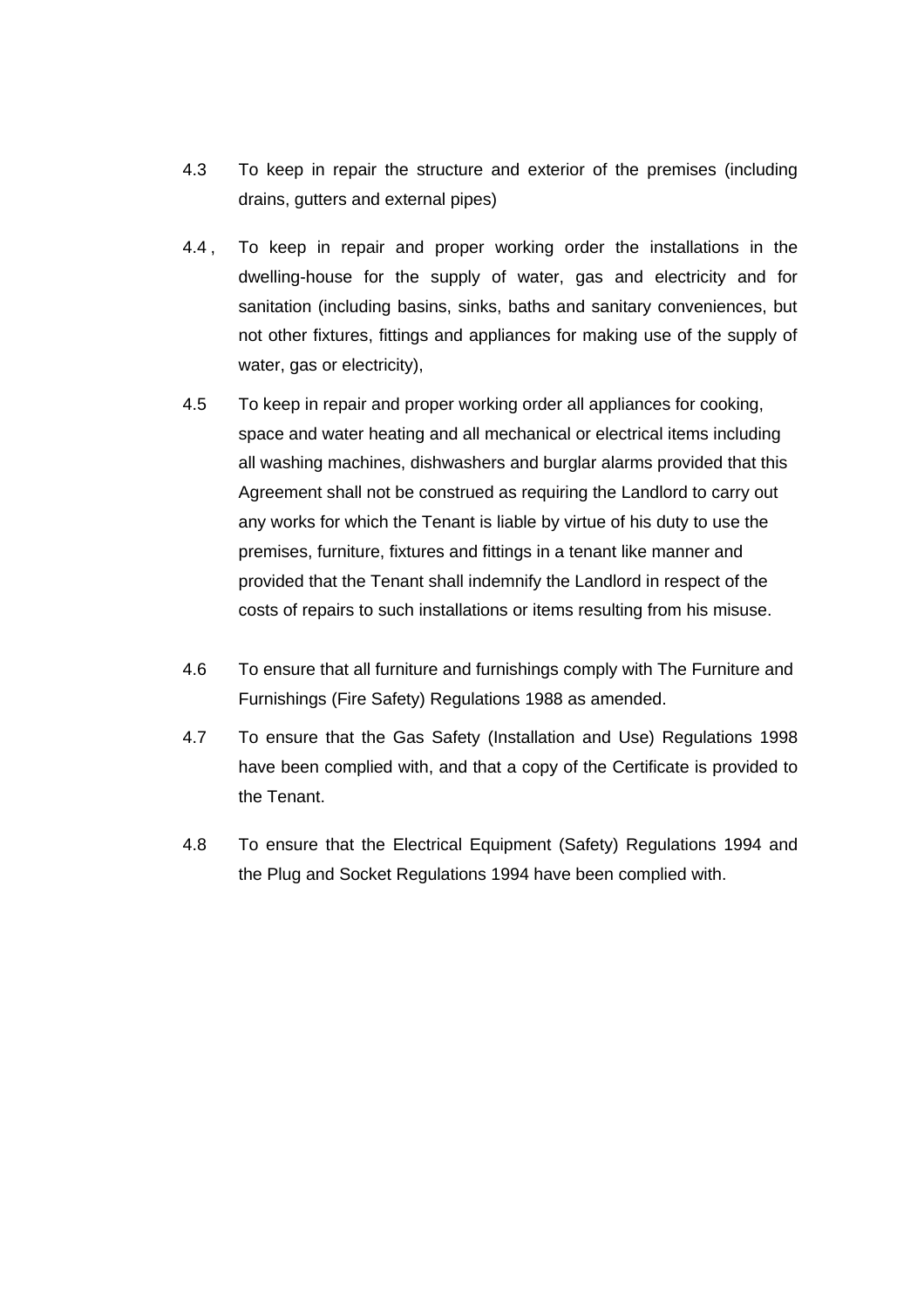- 4.3 To keep in repair the structure and exterior of the premises (including drains, gutters and external pipes)
- 4.4 , To keep in repair and proper working order the installations in the dwelling-house for the supply of water, gas and electricity and for sanitation (including basins, sinks, baths and sanitary conveniences, but not other fixtures, fittings and appliances for making use of the supply of water, gas or electricity),
- 4.5 To keep in repair and proper working order all appliances for cooking, space and water heating and all mechanical or electrical items including all washing machines, dishwashers and burglar alarms provided that this Agreement shall not be construed as requiring the Landlord to carry out any works for which the Tenant is liable by virtue of his duty to use the premises, furniture, fixtures and fittings in a tenant like manner and provided that the Tenant shall indemnify the Landlord in respect of the costs of repairs to such installations or items resulting from his misuse.
- 4.6 To ensure that all furniture and furnishings comply with The Furniture and Furnishings (Fire Safety) Regulations 1988 as amended.
- 4.7 To ensure that the Gas Safety (Installation and Use) Regulations 1998 have been complied with, and that a copy of the Certificate is provided to the Tenant.
- 4.8 To ensure that the Electrical Equipment (Safety) Regulations 1994 and the Plug and Socket Regulations 1994 have been complied with.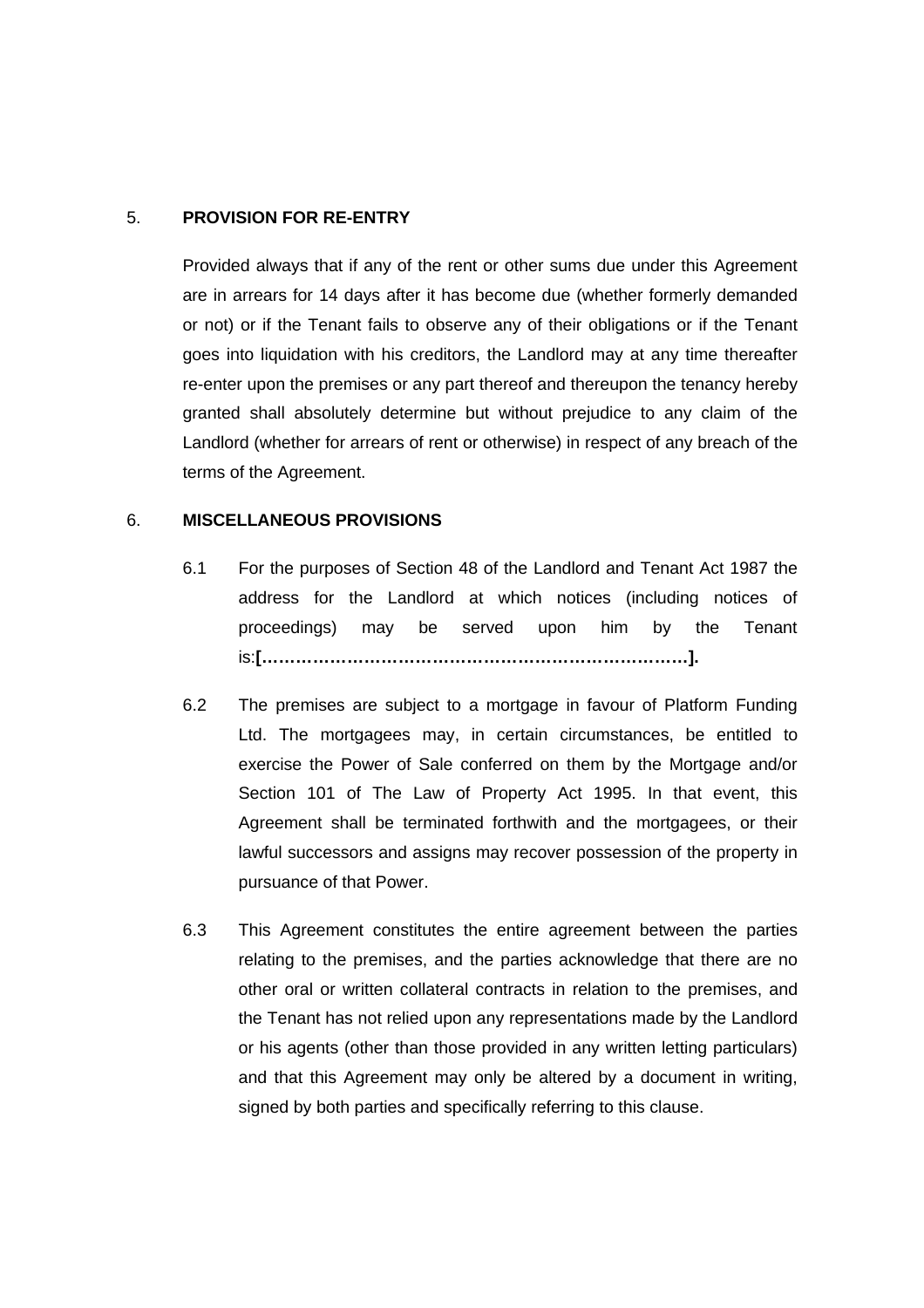## 5. **PROVISION FOR RE-ENTRY**

Provided always that if any of the rent or other sums due under this Agreement are in arrears for 14 days after it has become due (whether formerly demanded or not) or if the Tenant fails to observe any of their obligations or if the Tenant goes into liquidation with his creditors, the Landlord may at any time thereafter re-enter upon the premises or any part thereof and thereupon the tenancy hereby granted shall absolutely determine but without prejudice to any claim of the Landlord (whether for arrears of rent or otherwise) in respect of any breach of the terms of the Agreement.

## 6. **MISCELLANEOUS PROVISIONS**

- 6.1 For the purposes of Section 48 of the Landlord and Tenant Act 1987 the address for the Landlord at which notices (including notices of proceedings) may be served upon him by the Tenant is:**[…………………………………………………………………].**
- 6.2 The premises are subject to a mortgage in favour of Platform Funding Ltd. The mortgagees may, in certain circumstances, be entitled to exercise the Power of Sale conferred on them by the Mortgage and/or Section 101 of The Law of Property Act 1995. In that event, this Agreement shall be terminated forthwith and the mortgagees, or their lawful successors and assigns may recover possession of the property in pursuance of that Power.
- 6.3 This Agreement constitutes the entire agreement between the parties relating to the premises, and the parties acknowledge that there are no other oral or written collateral contracts in relation to the premises, and the Tenant has not relied upon any representations made by the Landlord or his agents (other than those provided in any written letting particulars) and that this Agreement may only be altered by a document in writing, signed by both parties and specifically referring to this clause.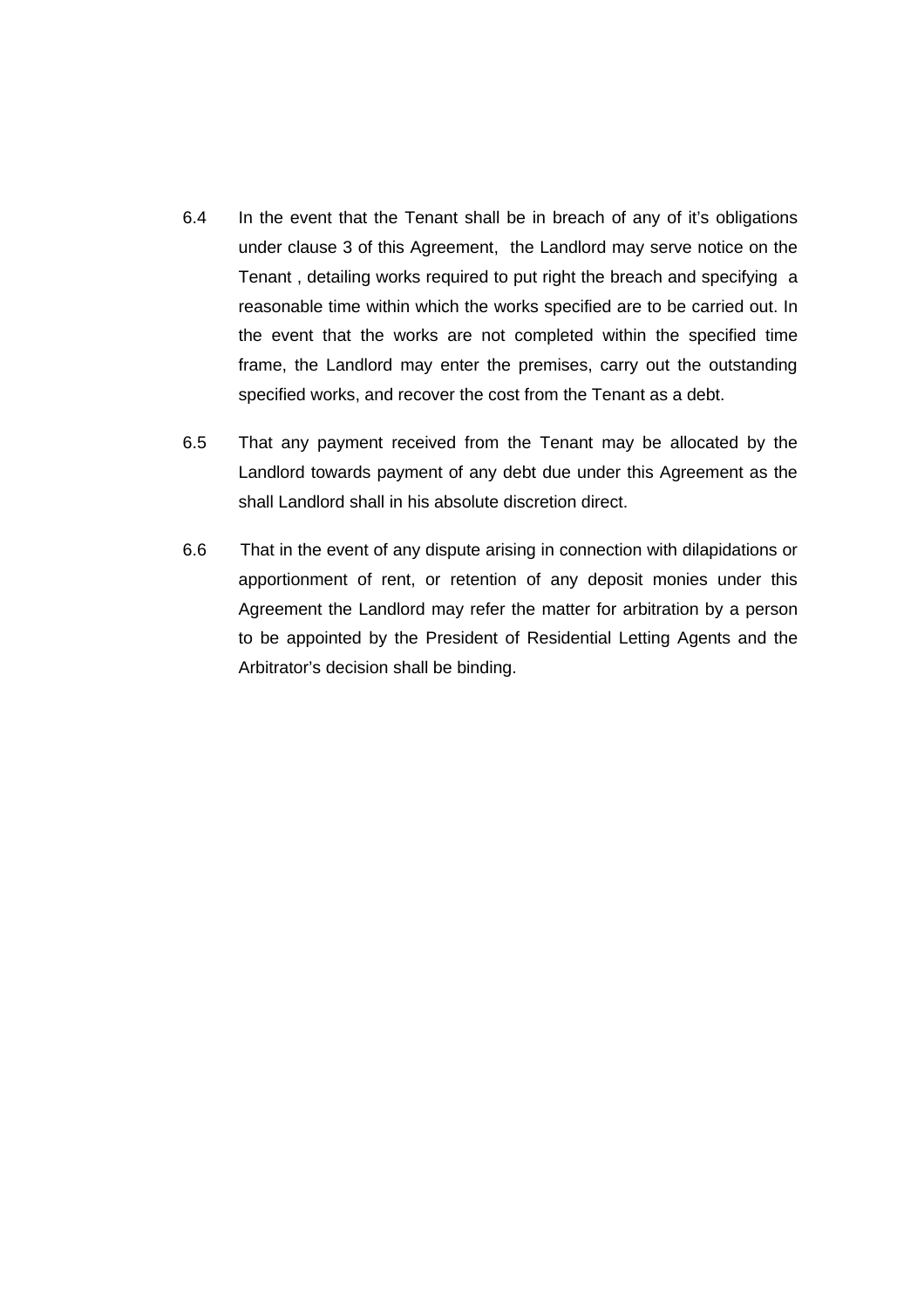- 6.4 In the event that the Tenant shall be in breach of any of it's obligations under clause 3 of this Agreement, the Landlord may serve notice on the Tenant , detailing works required to put right the breach and specifying a reasonable time within which the works specified are to be carried out. In the event that the works are not completed within the specified time frame, the Landlord may enter the premises, carry out the outstanding specified works, and recover the cost from the Tenant as a debt.
- 6.5 That any payment received from the Tenant may be allocated by the Landlord towards payment of any debt due under this Agreement as the shall Landlord shall in his absolute discretion direct.
- 6.6 That in the event of any dispute arising in connection with dilapidations or apportionment of rent, or retention of any deposit monies under this Agreement the Landlord may refer the matter for arbitration by a person to be appointed by the President of Residential Letting Agents and the Arbitrator's decision shall be binding.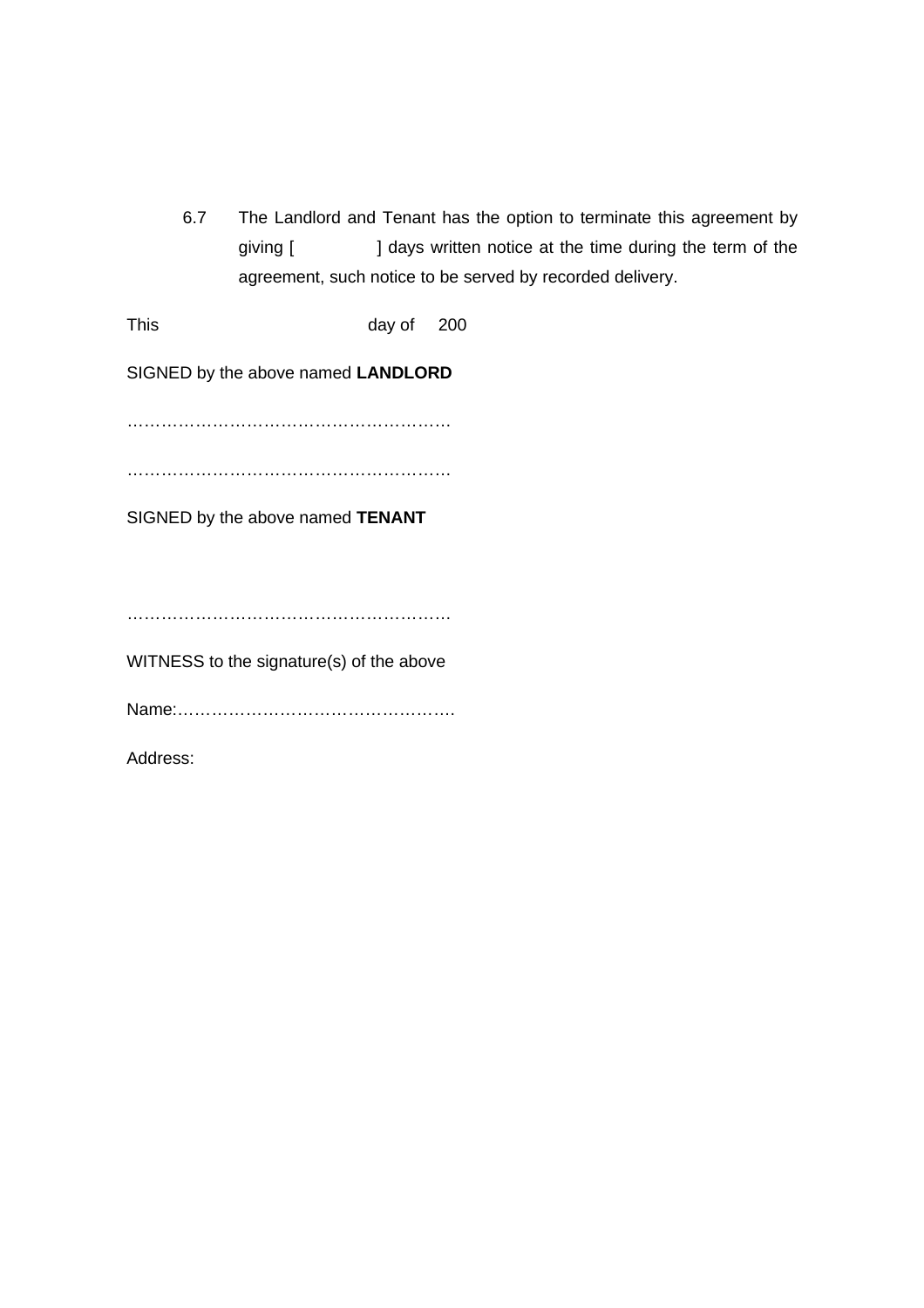6.7 The Landlord and Tenant has the option to terminate this agreement by giving [ ] days written notice at the time during the term of the agreement, such notice to be served by recorded delivery.

This day of 200

SIGNED by the above named **LANDLORD**

…………………………………………………

…………………………………………………

SIGNED by the above named **TENANT**

…………………………………………………

WITNESS to the signature(s) of the above

Name:………………………………………….

Address: